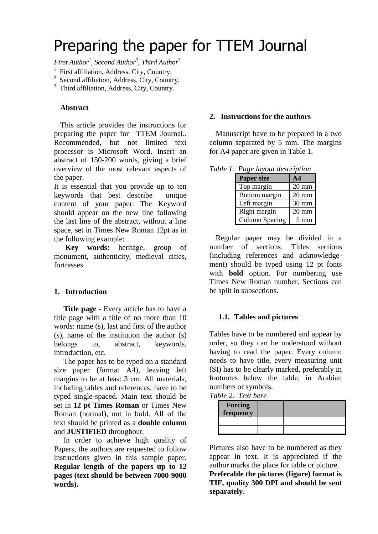# Preparing the paper for TTEM Journal

*First Author<sup>1</sup> , Second Author<sup>2</sup> , Third Author<sup>3</sup>*

- <sup>1</sup> First affiliation, Address, City, Country,
- <sup>2</sup> Second affiliation, Address, City, Country,

<sup>3</sup> Third affiliation, Address, City, Country.

## **Abstract**

This article provides the instructions for preparing the paper for TTEM Journal.. Recommended, but not limited text processor is Microsoft Word. Insert an abstract of 150-200 words, giving a brief overview of the most relevant aspects of the paper.

It is essential that you provide up to ten keywords that best describe unique content of your paper. The Keyword should appear on the new line following the last line of the abstract, without a line space, set in Times New Roman 12pt as in the following example:

**Key words:** heritage, group of monument, authenticity, medieval cities, fortresses

# **1. Introduction**

 **Title page -** Every article has to have a title page with a title of no more than 10 words: name (s), last and first of the author (s), name of the institution the author (s) belongs to, abstract, keywords, introduction, etc.

 The paper has to be typed on a standard size paper (format A4), leaving left margins to be at least 3 cm. All materials, including tables and references, have to be typed single-spaced. Main text should be set in **12 pt Times Roman** or Times New Roman (normal), not in bold. All of the text should be printed as a **double column** and **JUSTIFIED** throughout.

 In order to achieve high quality of Papers, the authors are requested to follow instructions given in this sample paper. **Regular length of the papers up to 12 pages (text should be between 7000-9000 words).**

### **2. Instructions for the authors**

Manuscript have to be prepared in a two column separated by 5 mm. The margins for A4 paper are given in Table 1.

| <u>t ake havour description</u> |                 |  |
|---------------------------------|-----------------|--|
| <b>Paper size</b>               | $\mathbf{A}$ 4  |  |
| Top margin                      | $20 \text{ mm}$ |  |
| Bottom margin                   | $20 \text{ mm}$ |  |
| Left margin                     | 30 mm           |  |
| Right margin                    | $20 \text{ mm}$ |  |
| Column Spacing                  | $5 \text{ mm}$  |  |

*Table 1. Page layout description*

Regular paper may be divided in a number of sections. Titles sections (including references and acknowledgement) should be typed using 12 pt fonts with **bold** option. For numbering use Times New Roman number. Sections can be split in subsections.

#### **1.1. Tables and pictures**

Tables have to be numbered and appear by order, so they can be understood without having to read the paper. Every column needs to have title, every measuring unit (SI) has to be clearly marked, preferably in footnotes below the table, in Arabian numbers or symbols.

*Table 2. Text here*

| <b>Forcing</b><br>frequency |  |
|-----------------------------|--|
|                             |  |
|                             |  |

Pictures also have to be numbered as they appear in text. It is appreciated if the author marks the place for table or picture. **Preferable the pictures (figure) format is TIF, quality 300 DPI and should be sent separately.**